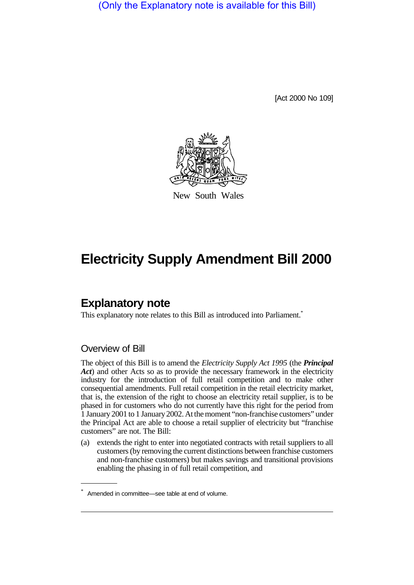(Only the Explanatory note is available for this Bill)

[Act 2000 No 109]



New South Wales

# **Electricity Supply Amendment Bill 2000**

# **Explanatory note**

This explanatory note relates to this Bill as introduced into Parliament.<sup>\*</sup>

# Overview of Bill

The object of this Bill is to amend the *Electricity Supply Act 1995* (the *Principal Act*) and other Acts so as to provide the necessary framework in the electricity industry for the introduction of full retail competition and to make other consequential amendments. Full retail competition in the retail electricity market, that is, the extension of the right to choose an electricity retail supplier, is to be phased in for customers who do not currently have this right for the period from 1 January 2001 to 1 January 2002. At the moment "non-franchise customers" under the Principal Act are able to choose a retail supplier of electricity but "franchise customers" are not. The Bill:

(a) extends the right to enter into negotiated contracts with retail suppliers to all customers (by removing the current distinctions between franchise customers and non-franchise customers) but makes savings and transitional provisions enabling the phasing in of full retail competition, and

<sup>\*</sup> Amended in committee—see table at end of volume.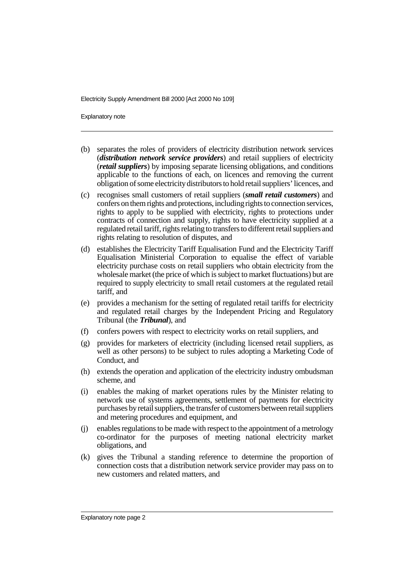Explanatory note

- (b) separates the roles of providers of electricity distribution network services (*distribution network service providers*) and retail suppliers of electricity (*retail suppliers*) by imposing separate licensing obligations, and conditions applicable to the functions of each, on licences and removing the current obligation of some electricity distributors to hold retail suppliers' licences, and
- (c) recognises small customers of retail suppliers (*small retail customers*) and confers on them rights and protections, including rights to connection services, rights to apply to be supplied with electricity, rights to protections under contracts of connection and supply, rights to have electricity supplied at a regulated retail tariff, rights relating to transfers to different retail suppliers and rights relating to resolution of disputes, and
- (d) establishes the Electricity Tariff Equalisation Fund and the Electricity Tariff Equalisation Ministerial Corporation to equalise the effect of variable electricity purchase costs on retail suppliers who obtain electricity from the wholesale market (the price of which is subject to market fluctuations) but are required to supply electricity to small retail customers at the regulated retail tariff, and
- (e) provides a mechanism for the setting of regulated retail tariffs for electricity and regulated retail charges by the Independent Pricing and Regulatory Tribunal (the *Tribunal*), and
- (f) confers powers with respect to electricity works on retail suppliers, and
- (g) provides for marketers of electricity (including licensed retail suppliers, as well as other persons) to be subject to rules adopting a Marketing Code of Conduct, and
- (h) extends the operation and application of the electricity industry ombudsman scheme, and
- (i) enables the making of market operations rules by the Minister relating to network use of systems agreements, settlement of payments for electricity purchases by retail suppliers, the transfer of customers between retail suppliers and metering procedures and equipment, and
- (j) enables regulations to be made with respect to the appointment of a metrology co-ordinator for the purposes of meeting national electricity market obligations, and
- (k) gives the Tribunal a standing reference to determine the proportion of connection costs that a distribution network service provider may pass on to new customers and related matters, and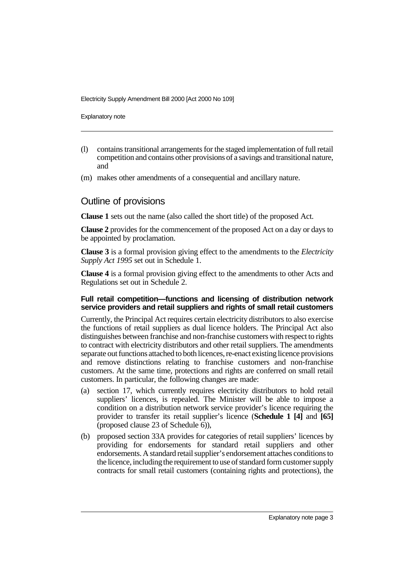Explanatory note

- (l) contains transitional arrangements for the staged implementation of full retail competition and contains other provisions of a savings and transitional nature, and
- (m) makes other amendments of a consequential and ancillary nature.

# Outline of provisions

**Clause 1** sets out the name (also called the short title) of the proposed Act.

**Clause 2** provides for the commencement of the proposed Act on a day or days to be appointed by proclamation.

**Clause 3** is a formal provision giving effect to the amendments to the *Electricity Supply Act 1995* set out in Schedule 1.

**Clause 4** is a formal provision giving effect to the amendments to other Acts and Regulations set out in Schedule 2.

#### **Full retail competition—functions and licensing of distribution network service providers and retail suppliers and rights of small retail customers**

Currently, the Principal Act requires certain electricity distributors to also exercise the functions of retail suppliers as dual licence holders. The Principal Act also distinguishes between franchise and non-franchise customers with respect to rights to contract with electricity distributors and other retail suppliers. The amendments separate out functions attached to both licences, re-enact existing licence provisions and remove distinctions relating to franchise customers and non-franchise customers. At the same time, protections and rights are conferred on small retail customers. In particular, the following changes are made:

- (a) section 17, which currently requires electricity distributors to hold retail suppliers' licences, is repealed. The Minister will be able to impose a condition on a distribution network service provider's licence requiring the provider to transfer its retail supplier's licence (**Schedule 1 [4]** and **[65]** (proposed clause 23 of Schedule  $\overline{6}$ ),
- (b) proposed section 33A provides for categories of retail suppliers' licences by providing for endorsements for standard retail suppliers and other endorsements. A standard retail supplier's endorsement attaches conditions to the licence, including the requirement to use of standard form customer supply contracts for small retail customers (containing rights and protections), the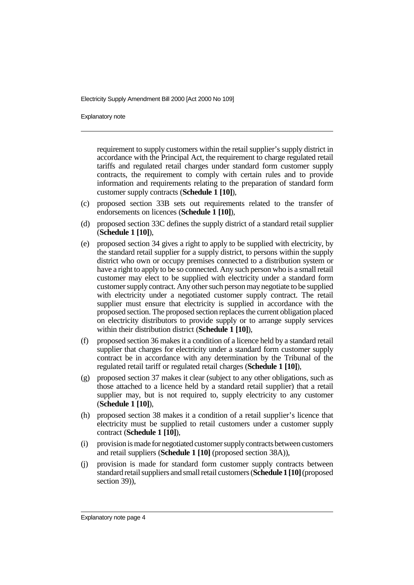Explanatory note

requirement to supply customers within the retail supplier's supply district in accordance with the Principal Act, the requirement to charge regulated retail tariffs and regulated retail charges under standard form customer supply contracts, the requirement to comply with certain rules and to provide information and requirements relating to the preparation of standard form customer supply contracts (**Schedule 1 [10]**),

- (c) proposed section 33B sets out requirements related to the transfer of endorsements on licences (**Schedule 1 [10]**),
- (d) proposed section 33C defines the supply district of a standard retail supplier (**Schedule 1 [10]**),
- (e) proposed section 34 gives a right to apply to be supplied with electricity, by the standard retail supplier for a supply district, to persons within the supply district who own or occupy premises connected to a distribution system or have a right to apply to be so connected. Any such person who is a small retail customer may elect to be supplied with electricity under a standard form customer supply contract. Any other such person may negotiate to be supplied with electricity under a negotiated customer supply contract. The retail supplier must ensure that electricity is supplied in accordance with the proposed section. The proposed section replaces the current obligation placed on electricity distributors to provide supply or to arrange supply services within their distribution district (**Schedule 1 [10]**),
- (f) proposed section 36 makes it a condition of a licence held by a standard retail supplier that charges for electricity under a standard form customer supply contract be in accordance with any determination by the Tribunal of the regulated retail tariff or regulated retail charges (**Schedule 1 [10]**),
- (g) proposed section 37 makes it clear (subject to any other obligations, such as those attached to a licence held by a standard retail supplier) that a retail supplier may, but is not required to, supply electricity to any customer (**Schedule 1 [10]**),
- (h) proposed section 38 makes it a condition of a retail supplier's licence that electricity must be supplied to retail customers under a customer supply contract (**Schedule 1 [10]**),
- (i) provision is made for negotiated customer supply contracts between customers and retail suppliers (**Schedule 1 [10]** (proposed section 38A)),
- (j) provision is made for standard form customer supply contracts between standard retail suppliers and small retail customers (**Schedule 1 [10]** (proposed section 39)),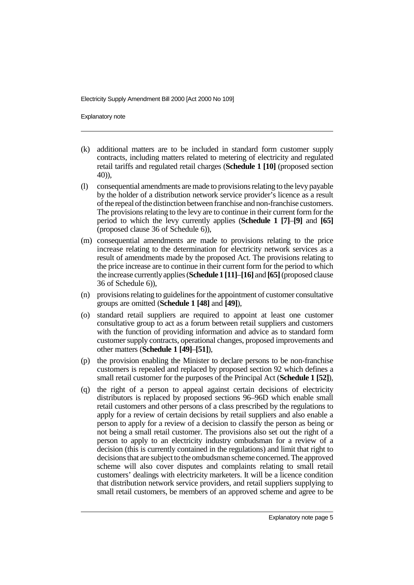Explanatory note

- (k) additional matters are to be included in standard form customer supply contracts, including matters related to metering of electricity and regulated retail tariffs and regulated retail charges (**Schedule 1 [10]** (proposed section 40)),
- (l) consequential amendments are made to provisions relating to the levy payable by the holder of a distribution network service provider's licence as a result of the repeal of the distinction between franchise and non-franchise customers. The provisions relating to the levy are to continue in their current form for the period to which the levy currently applies (**Schedule 1 [7]**–**[9]** and **[65]** (proposed clause 36 of Schedule 6)),
- (m) consequential amendments are made to provisions relating to the price increase relating to the determination for electricity network services as a result of amendments made by the proposed Act. The provisions relating to the price increase are to continue in their current form for the period to which the increase currently applies (**Schedule 1 [11]**–**[16]** and **[65]** (proposed clause 36 of Schedule 6)),
- (n) provisions relating to guidelines for the appointment of customer consultative groups are omitted (**Schedule 1 [48]** and **[49]**),
- (o) standard retail suppliers are required to appoint at least one customer consultative group to act as a forum between retail suppliers and customers with the function of providing information and advice as to standard form customer supply contracts, operational changes, proposed improvements and other matters (**Schedule 1 [49]**–**[51]**),
- (p) the provision enabling the Minister to declare persons to be non-franchise customers is repealed and replaced by proposed section 92 which defines a small retail customer for the purposes of the Principal Act (**Schedule 1 [52]**),
- (q) the right of a person to appeal against certain decisions of electricity distributors is replaced by proposed sections 96–96D which enable small retail customers and other persons of a class prescribed by the regulations to apply for a review of certain decisions by retail suppliers and also enable a person to apply for a review of a decision to classify the person as being or not being a small retail customer. The provisions also set out the right of a person to apply to an electricity industry ombudsman for a review of a decision (this is currently contained in the regulations) and limit that right to decisions that are subject to the ombudsman scheme concerned. The approved scheme will also cover disputes and complaints relating to small retail customers' dealings with electricity marketers. It will be a licence condition that distribution network service providers, and retail suppliers supplying to small retail customers, be members of an approved scheme and agree to be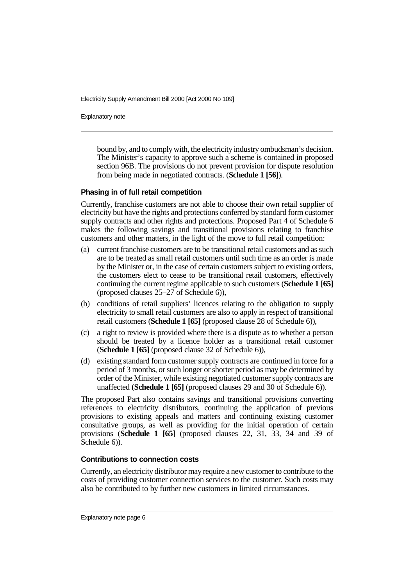Explanatory note

bound by, and to comply with, the electricity industry ombudsman's decision. The Minister's capacity to approve such a scheme is contained in proposed section 96B. The provisions do not prevent provision for dispute resolution from being made in negotiated contracts. (**Schedule 1 [56]**).

### **Phasing in of full retail competition**

Currently, franchise customers are not able to choose their own retail supplier of electricity but have the rights and protections conferred by standard form customer supply contracts and other rights and protections. Proposed Part 4 of Schedule 6 makes the following savings and transitional provisions relating to franchise customers and other matters, in the light of the move to full retail competition:

- (a) current franchise customers are to be transitional retail customers and as such are to be treated as small retail customers until such time as an order is made by the Minister or, in the case of certain customers subject to existing orders, the customers elect to cease to be transitional retail customers, effectively continuing the current regime applicable to such customers (**Schedule 1 [65]** (proposed clauses 25–27 of Schedule 6)),
- (b) conditions of retail suppliers' licences relating to the obligation to supply electricity to small retail customers are also to apply in respect of transitional retail customers (**Schedule 1 [65]** (proposed clause 28 of Schedule 6)),
- (c) a right to review is provided where there is a dispute as to whether a person should be treated by a licence holder as a transitional retail customer (**Schedule 1 [65]** (proposed clause 32 of Schedule 6)),
- (d) existing standard form customer supply contracts are continued in force for a period of 3 months, or such longer or shorter period as may be determined by order of the Minister, while existing negotiated customer supply contracts are unaffected (**Schedule 1 [65]** (proposed clauses 29 and 30 of Schedule 6)).

The proposed Part also contains savings and transitional provisions converting references to electricity distributors, continuing the application of previous provisions to existing appeals and matters and continuing existing customer consultative groups, as well as providing for the initial operation of certain provisions (**Schedule 1 [65]** (proposed clauses 22, 31, 33, 34 and 39 of Schedule 6)).

## **Contributions to connection costs**

Currently, an electricity distributor may require a new customer to contribute to the costs of providing customer connection services to the customer. Such costs may also be contributed to by further new customers in limited circumstances.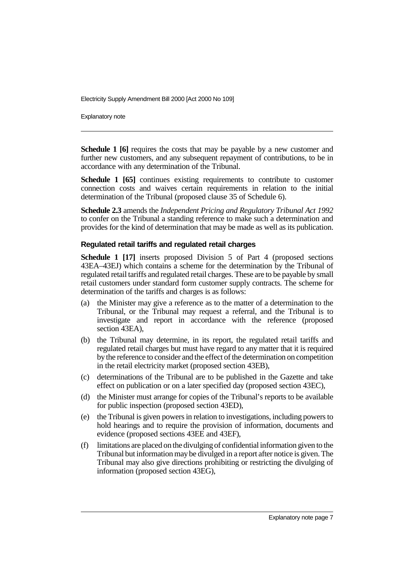Explanatory note

**Schedule 1 [6]** requires the costs that may be payable by a new customer and further new customers, and any subsequent repayment of contributions, to be in accordance with any determination of the Tribunal.

**Schedule 1 [65]** continues existing requirements to contribute to customer connection costs and waives certain requirements in relation to the initial determination of the Tribunal (proposed clause 35 of Schedule 6).

**Schedule 2.3** amends the *Independent Pricing and Regulatory Tribunal Act 1992* to confer on the Tribunal a standing reference to make such a determination and provides for the kind of determination that may be made as well as its publication.

#### **Regulated retail tariffs and regulated retail charges**

**Schedule 1 [17]** inserts proposed Division 5 of Part 4 (proposed sections 43EA–43EJ) which contains a scheme for the determination by the Tribunal of regulated retail tariffs and regulated retail charges. These are to be payable by small retail customers under standard form customer supply contracts. The scheme for determination of the tariffs and charges is as follows:

- (a) the Minister may give a reference as to the matter of a determination to the Tribunal, or the Tribunal may request a referral, and the Tribunal is to investigate and report in accordance with the reference (proposed section 43EA),
- (b) the Tribunal may determine, in its report, the regulated retail tariffs and regulated retail charges but must have regard to any matter that it is required by the reference to consider and the effect of the determination on competition in the retail electricity market (proposed section 43EB),
- (c) determinations of the Tribunal are to be published in the Gazette and take effect on publication or on a later specified day (proposed section 43EC),
- (d) the Minister must arrange for copies of the Tribunal's reports to be available for public inspection (proposed section 43ED),
- (e) the Tribunal is given powers in relation to investigations, including powers to hold hearings and to require the provision of information, documents and evidence (proposed sections 43EE and 43EF),
- (f) limitations are placed on the divulging of confidential information given to the Tribunal but information may be divulged in a report after notice is given. The Tribunal may also give directions prohibiting or restricting the divulging of information (proposed section 43EG),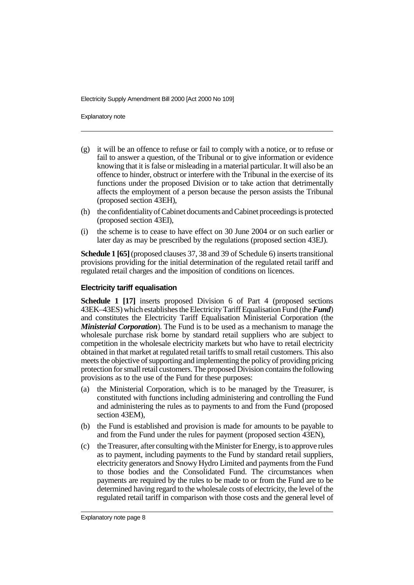Explanatory note

- (g) it will be an offence to refuse or fail to comply with a notice, or to refuse or fail to answer a question, of the Tribunal or to give information or evidence knowing that it is false or misleading in a material particular. It will also be an offence to hinder, obstruct or interfere with the Tribunal in the exercise of its functions under the proposed Division or to take action that detrimentally affects the employment of a person because the person assists the Tribunal (proposed section 43EH),
- (h) the confidentiality of Cabinet documents and Cabinet proceedings is protected (proposed section 43EI),
- (i) the scheme is to cease to have effect on 30 June 2004 or on such earlier or later day as may be prescribed by the regulations (proposed section 43EJ).

**Schedule 1 [65]** (proposed clauses 37, 38 and 39 of Schedule 6) inserts transitional provisions providing for the initial determination of the regulated retail tariff and regulated retail charges and the imposition of conditions on licences.

#### **Electricity tariff equalisation**

**Schedule 1 [17]** inserts proposed Division 6 of Part 4 (proposed sections 43EK–43ES) which establishes the Electricity Tariff Equalisation Fund (the *Fund*) and constitutes the Electricity Tariff Equalisation Ministerial Corporation (the *Ministerial Corporation*). The Fund is to be used as a mechanism to manage the wholesale purchase risk borne by standard retail suppliers who are subject to competition in the wholesale electricity markets but who have to retail electricity obtained in that market at regulated retail tariffs to small retail customers. This also meets the objective of supporting and implementing the policy of providing pricing protection for small retail customers. The proposed Division contains the following provisions as to the use of the Fund for these purposes:

- (a) the Ministerial Corporation, which is to be managed by the Treasurer, is constituted with functions including administering and controlling the Fund and administering the rules as to payments to and from the Fund (proposed section 43EM),
- (b) the Fund is established and provision is made for amounts to be payable to and from the Fund under the rules for payment (proposed section 43EN),
- (c) the Treasurer, after consulting with the Minister for Energy, is to approve rules as to payment, including payments to the Fund by standard retail suppliers, electricity generators and Snowy Hydro Limited and payments from the Fund to those bodies and the Consolidated Fund. The circumstances when payments are required by the rules to be made to or from the Fund are to be determined having regard to the wholesale costs of electricity, the level of the regulated retail tariff in comparison with those costs and the general level of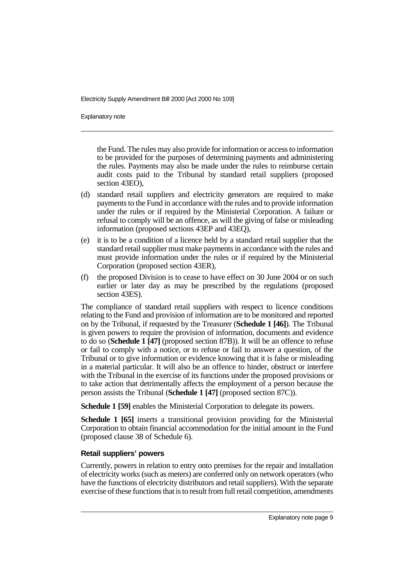Explanatory note

the Fund. The rules may also provide for information or access to information to be provided for the purposes of determining payments and administering the rules. Payments may also be made under the rules to reimburse certain audit costs paid to the Tribunal by standard retail suppliers (proposed section 43EO).

- (d) standard retail suppliers and electricity generators are required to make payments to the Fund in accordance with the rules and to provide information under the rules or if required by the Ministerial Corporation. A failure or refusal to comply will be an offence, as will the giving of false or misleading information (proposed sections 43EP and 43EQ),
- (e) it is to be a condition of a licence held by a standard retail supplier that the standard retail supplier must make payments in accordance with the rules and must provide information under the rules or if required by the Ministerial Corporation (proposed section 43ER),
- (f) the proposed Division is to cease to have effect on 30 June 2004 or on such earlier or later day as may be prescribed by the regulations (proposed section 43ES).

The compliance of standard retail suppliers with respect to licence conditions relating to the Fund and provision of information are to be monitored and reported on by the Tribunal, if requested by the Treasurer (**Schedule 1 [46]**). The Tribunal is given powers to require the provision of information, documents and evidence to do so (**Schedule 1 [47]** (proposed section 87B)). It will be an offence to refuse or fail to comply with a notice, or to refuse or fail to answer a question, of the Tribunal or to give information or evidence knowing that it is false or misleading in a material particular. It will also be an offence to hinder, obstruct or interfere with the Tribunal in the exercise of its functions under the proposed provisions or to take action that detrimentally affects the employment of a person because the person assists the Tribunal (**Schedule 1 [47]** (proposed section 87C)).

**Schedule 1 [59]** enables the Ministerial Corporation to delegate its powers.

**Schedule 1 [65]** inserts a transitional provision providing for the Ministerial Corporation to obtain financial accommodation for the initial amount in the Fund (proposed clause 38 of Schedule 6).

#### **Retail suppliers' powers**

Currently, powers in relation to entry onto premises for the repair and installation of electricity works (such as meters) are conferred only on network operators (who have the functions of electricity distributors and retail suppliers). With the separate exercise of these functions that is to result from full retail competition, amendments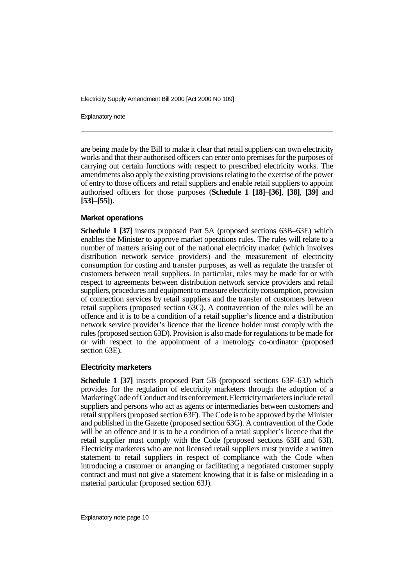Explanatory note

are being made by the Bill to make it clear that retail suppliers can own electricity works and that their authorised officers can enter onto premises for the purposes of carrying out certain functions with respect to prescribed electricity works. The amendments also apply the existing provisions relating to the exercise of the power of entry to those officers and retail suppliers and enable retail suppliers to appoint authorised officers for those purposes (**Schedule 1 [18]**–**[36]**, **[38]**, **[39]** and **[53]**–**[55]**).

#### **Market operations**

**Schedule 1 [37]** inserts proposed Part 5A (proposed sections 63B–63E) which enables the Minister to approve market operations rules. The rules will relate to a number of matters arising out of the national electricity market (which involves distribution network service providers) and the measurement of electricity consumption for costing and transfer purposes, as well as regulate the transfer of customers between retail suppliers. In particular, rules may be made for or with respect to agreements between distribution network service providers and retail suppliers, procedures and equipment to measure electricity consumption, provision of connection services by retail suppliers and the transfer of customers between retail suppliers (proposed section 63C). A contravention of the rules will be an offence and it is to be a condition of a retail supplier's licence and a distribution network service provider's licence that the licence holder must comply with the rules (proposed section 63D). Provision is also made for regulations to be made for or with respect to the appointment of a metrology co-ordinator (proposed section 63E).

#### **Electricity marketers**

**Schedule 1 [37]** inserts proposed Part 5B (proposed sections 63F–63J) which provides for the regulation of electricity marketers through the adoption of a Marketing Code of Conduct and its enforcement. Electricity marketers include retail suppliers and persons who act as agents or intermediaries between customers and retail suppliers (proposed section 63F). The Code is to be approved by the Minister and published in the Gazette (proposed section 63G). A contravention of the Code will be an offence and it is to be a condition of a retail supplier's licence that the retail supplier must comply with the Code (proposed sections 63H and 63I). Electricity marketers who are not licensed retail suppliers must provide a written statement to retail suppliers in respect of compliance with the Code when introducing a customer or arranging or facilitating a negotiated customer supply contract and must not give a statement knowing that it is false or misleading in a material particular (proposed section 63J).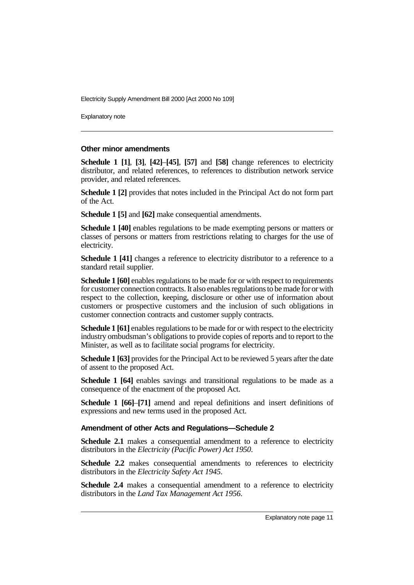Explanatory note

#### **Other minor amendments**

**Schedule 1 [1]**, **[3]**, **[42]**–**[45]**, **[57]** and **[58]** change references to electricity distributor, and related references, to references to distribution network service provider, and related references.

**Schedule 1 [2]** provides that notes included in the Principal Act do not form part of the Act.

**Schedule 1 [5]** and **[62]** make consequential amendments.

**Schedule 1 [40]** enables regulations to be made exempting persons or matters or classes of persons or matters from restrictions relating to charges for the use of electricity.

**Schedule 1 [41]** changes a reference to electricity distributor to a reference to a standard retail supplier.

**Schedule 1 [60]** enables regulations to be made for or with respect to requirements for customer connection contracts. It also enables regulations to be made for or with respect to the collection, keeping, disclosure or other use of information about customers or prospective customers and the inclusion of such obligations in customer connection contracts and customer supply contracts.

**Schedule 1 [61]** enables regulations to be made for or with respect to the electricity industry ombudsman's obligations to provide copies of reports and to report to the Minister, as well as to facilitate social programs for electricity.

**Schedule 1 [63]** provides for the Principal Act to be reviewed 5 years after the date of assent to the proposed Act.

**Schedule 1 [64]** enables savings and transitional regulations to be made as a consequence of the enactment of the proposed Act.

**Schedule 1 [66]**–**[71]** amend and repeal definitions and insert definitions of expressions and new terms used in the proposed Act.

#### **Amendment of other Acts and Regulations—Schedule 2**

**Schedule 2.1** makes a consequential amendment to a reference to electricity distributors in the *Electricity (Pacific Power) Act 1950*.

Schedule 2.2 makes consequential amendments to references to electricity distributors in the *Electricity Safety Act 1945*.

**Schedule 2.4** makes a consequential amendment to a reference to electricity distributors in the *Land Tax Management Act 1956*.